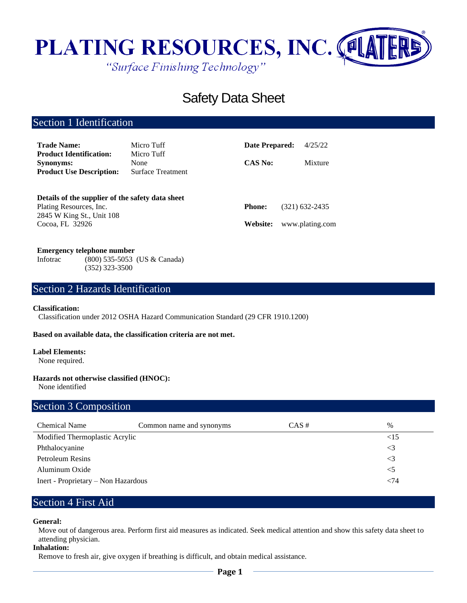

# Safety Data Sheet

## Section 1 Identification

| <b>Trade Name:</b><br><b>Product Identification:</b>                                                     | Micro Tuff<br>Micro Tuff  | Date Prepared: | 4/25/22         |
|----------------------------------------------------------------------------------------------------------|---------------------------|----------------|-----------------|
| <b>Synonyms:</b><br><b>Product Use Description:</b>                                                      | None<br>Surface Treatment | <b>CAS No:</b> | Mixture         |
| Details of the supplier of the safety data sheet<br>Plating Resources, Inc.<br>2845 W King St., Unit 108 |                           | <b>Phone:</b>  | (321) 632-2435  |
| Cocoa, FL 32926                                                                                          |                           | Website:       | www.plating.com |

#### **Emergency telephone number**

Infotrac (800) 535-5053 (US & Canada) (352) 323-3500

## Section 2 Hazards Identification

#### **Classification:**

Classification under 2012 OSHA Hazard Communication Standard (29 CFR 1910.1200)

#### **Based on available data, the classification criteria are not met.**

#### **Label Elements:**

None required.

#### **Hazards not otherwise classified (HNOC):**

None identified

## Section 3 Composition

| <b>Chemical Name</b>                | Common name and synonyms | $CAS \#$ | $\%$      |
|-------------------------------------|--------------------------|----------|-----------|
| Modified Thermoplastic Acrylic      |                          |          | $\leq$ 15 |
| Phthalocyanine                      |                          |          | $\leq$ 3  |
| <b>Petroleum Resins</b>             |                          |          | $\leq$ 3  |
| Aluminum Oxide                      |                          |          | $<$ 5     |
| Inert - Proprietary - Non Hazardous |                          |          | < 74      |

## Section 4 First Aid

### **General:**

Move out of dangerous area. Perform first aid measures as indicated. Seek medical attention and show this safety data sheet to attending physician.

## **Inhalation:**

Remove to fresh air, give oxygen if breathing is difficult, and obtain medical assistance.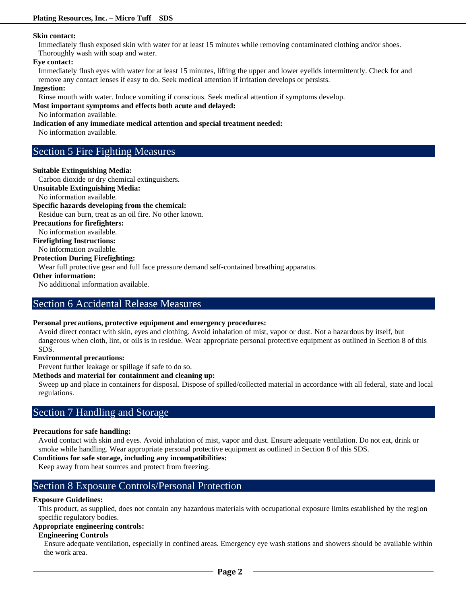#### **Skin contact:**

Immediately flush exposed skin with water for at least 15 minutes while removing contaminated clothing and/or shoes. Thoroughly wash with soap and water.

#### **Eye contact:**

Immediately flush eyes with water for at least 15 minutes, lifting the upper and lower eyelids intermittently. Check for and remove any contact lenses if easy to do. Seek medical attention if irritation develops or persists.

#### **Ingestion:**

Rinse mouth with water. Induce vomiting if conscious. Seek medical attention if symptoms develop.

#### **Most important symptoms and effects both acute and delayed:**

No information available.

#### **Indication of any immediate medical attention and special treatment needed:**

No information available.

## Section 5 Fire Fighting Measures

#### **Suitable Extinguishing Media:**

Carbon dioxide or dry chemical extinguishers.

**Unsuitable Extinguishing Media:**

#### No information available.

#### **Specific hazards developing from the chemical:**

Residue can burn, treat as an oil fire. No other known.

**Precautions for firefighters:**

No information available.

**Firefighting Instructions:**

No information available.

#### **Protection During Firefighting:**

Wear full protective gear and full face pressure demand self-contained breathing apparatus.

**Other information:**

No additional information available.

### Section 6 Accidental Release Measures

#### **Personal precautions, protective equipment and emergency procedures:**

Avoid direct contact with skin, eyes and clothing. Avoid inhalation of mist, vapor or dust. Not a hazardous by itself, but dangerous when cloth, lint, or oils is in residue. Wear appropriate personal protective equipment as outlined in Section 8 of this SDS.

#### **Environmental precautions:**

Prevent further leakage or spillage if safe to do so.

#### **Methods and material for containment and cleaning up:**

Sweep up and place in containers for disposal. Dispose of spilled/collected material in accordance with all federal, state and local regulations.

## Section 7 Handling and Storage

#### **Precautions for safe handling:**

Avoid contact with skin and eyes. Avoid inhalation of mist, vapor and dust. Ensure adequate ventilation. Do not eat, drink or smoke while handling. Wear appropriate personal protective equipment as outlined in Section 8 of this SDS.

#### **Conditions for safe storage, including any incompatibilities:**

Keep away from heat sources and protect from freezing.

## Section 8 Exposure Controls/Personal Protection

#### **Exposure Guidelines:**

This product, as supplied, does not contain any hazardous materials with occupational exposure limits established by the region specific regulatory bodies.

#### **Appropriate engineering controls:**

#### **Engineering Controls**

Ensure adequate ventilation, especially in confined areas. Emergency eye wash stations and showers should be available within the work area.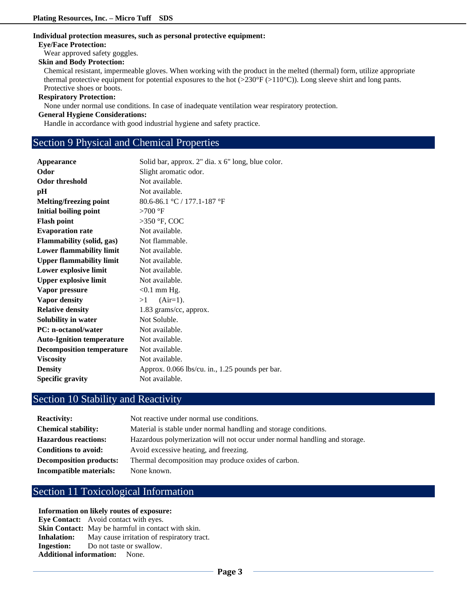### **Individual protection measures, such as personal protective equipment:**

#### **Eye/Face Protection:**

Wear approved safety goggles.

### **Skin and Body Protection:**

Chemical resistant, impermeable gloves. When working with the product in the melted (thermal) form, utilize appropriate thermal protective equipment for potential exposures to the hot ( $>230^{\circ}F$  ( $>110^{\circ}C$ )). Long sleeve shirt and long pants. Protective shoes or boots.

#### **Respiratory Protection:**

None under normal use conditions. In case of inadequate ventilation wear respiratory protection.

## **General Hygiene Considerations:**

Handle in accordance with good industrial hygiene and safety practice.

## Section 9 Physical and Chemical Properties

| Appearance                       | Solid bar, approx. 2" dia. x 6" long, blue color. |
|----------------------------------|---------------------------------------------------|
| Odor                             | Slight aromatic odor.                             |
| Odor threshold                   | Not available.                                    |
| pH                               | Not available.                                    |
| <b>Melting/freezing point</b>    | 80.6-86.1 °C / 177.1-187 °F                       |
| <b>Initial boiling point</b>     | $>700$ °F                                         |
| <b>Flash point</b>               | $>350$ °F, COC                                    |
| <b>Evaporation rate</b>          | Not available.                                    |
| <b>Flammability (solid, gas)</b> | Not flammable.                                    |
| <b>Lower flammability limit</b>  | Not available.                                    |
| <b>Upper flammability limit</b>  | Not available.                                    |
| Lower explosive limit            | Not available.                                    |
| <b>Upper explosive limit</b>     | Not available.                                    |
| Vapor pressure                   | $< 0.1$ mm Hg.                                    |
| Vapor density                    | $>1$ (Air=1).                                     |
| <b>Relative density</b>          | 1.83 grams/cc, approx.                            |
| Solubility in water              | Not Soluble.                                      |
| <b>PC:</b> n-octanol/water       | Not available.                                    |
| <b>Auto-Ignition temperature</b> | Not available.                                    |
| <b>Decomposition temperature</b> | Not available.                                    |
| <b>Viscosity</b>                 | Not available.                                    |
| <b>Density</b>                   | Approx. 0.066 lbs/cu. in., 1.25 pounds per bar.   |
| <b>Specific gravity</b>          | Not available.                                    |

## Section 10 Stability and Reactivity

| <b>Reactivity:</b>             | Not reactive under normal use conditions.                                  |
|--------------------------------|----------------------------------------------------------------------------|
| <b>Chemical stability:</b>     | Material is stable under normal handling and storage conditions.           |
| <b>Hazardous reactions:</b>    | Hazardous polymerization will not occur under normal handling and storage. |
| Conditions to avoid:           | Avoid excessive heating, and freezing.                                     |
| <b>Decomposition products:</b> | Thermal decomposition may produce oxides of carbon.                        |
| Incompatible materials:        | None known.                                                                |

## Section 11 Toxicological Information

#### **Information on likely routes of exposure:**

| <b>Eye Contact:</b> Avoid contact with eyes.                  |
|---------------------------------------------------------------|
| <b>Skin Contact:</b> May be harmful in contact with skin.     |
| <b>Inhalation:</b> May cause irritation of respiratory tract. |
| <b>Ingestion:</b> Do not taste or swallow.                    |
| <b>Additional information:</b> None.                          |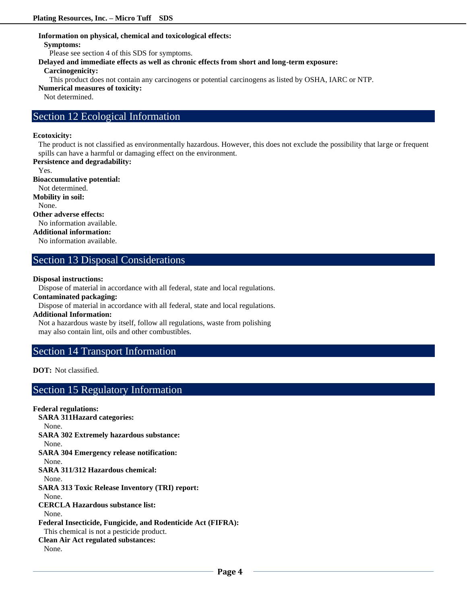### **Information on physical, chemical and toxicological effects:**

**Symptoms:**

Please see section 4 of this SDS for symptoms.

**Delayed and immediate effects as well as chronic effects from short and long-term exposure:**

**Carcinogenicity:**

This product does not contain any carcinogens or potential carcinogens as listed by OSHA, IARC or NTP.

**Numerical measures of toxicity:**

Not determined.

## Section 12 Ecological Information

#### **Ecotoxicity:**

The product is not classified as environmentally hazardous. However, this does not exclude the possibility that large or frequent spills can have a harmful or damaging effect on the environment.

**Persistence and degradability:**

Yes.

#### **Bioaccumulative potential:**

Not determined.

**Mobility in soil:**

None.

**Other adverse effects:**

No information available.

## **Additional information:**

No information available.

## Section 13 Disposal Considerations

#### **Disposal instructions:**

Dispose of material in accordance with all federal, state and local regulations.

#### **Contaminated packaging:**

Dispose of material in accordance with all federal, state and local regulations.

#### **Additional Information:**

Not a hazardous waste by itself, follow all regulations, waste from polishing may also contain lint, oils and other combustibles.

## Section 14 Transport Information

**DOT:** Not classified.

## Section 15 Regulatory Information

**Federal regulations: SARA 311Hazard categories:**  None. **SARA 302 Extremely hazardous substance:** None. **SARA 304 Emergency release notification:** None. **SARA 311/312 Hazardous chemical:** None. **SARA 313 Toxic Release Inventory (TRI) report:** None. **CERCLA Hazardous substance list:** None. **Federal Insecticide, Fungicide, and Rodenticide Act (FIFRA):** This chemical is not a pesticide product. **Clean Air Act regulated substances:** None.